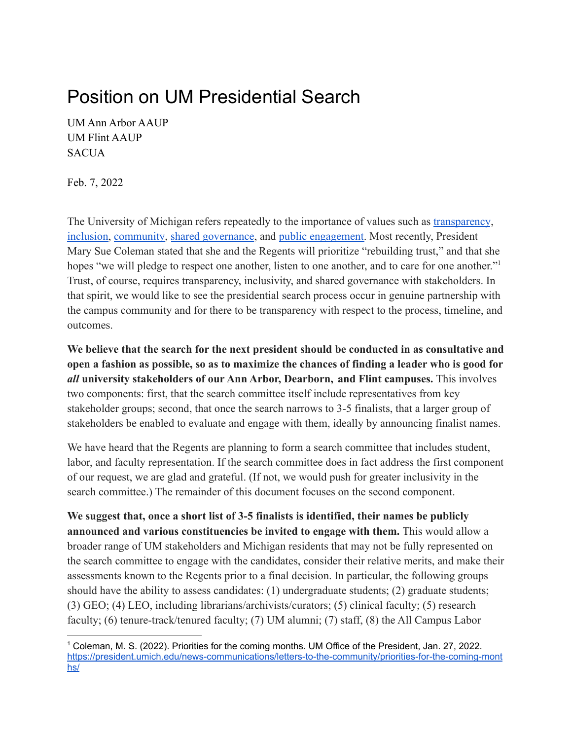## Position on UM Presidential Search

UM Ann Arbor AAUP UM Flint AAUP **SACUA** 

Feb. 7, 2022

The University of Michigan refers repeatedly to the importance of values such as [transparency](https://socialmedia.umich.edu/blog/lessons-in-leadership-re-establishing-trust-through-transparency/), [inclusion,](https://diversity.umich.edu/) [community,](https://hr.umich.edu/our-values-core-beliefs#:~:text=Values%201%20Compassion%202,Hope%203%20Community%204%20Fulfillment) [shared governance](http://www.provost.umich.edu/faculty/handbook/4/4.A.html), and public [engagement.](https://publicengagement.umich.edu/) Most recently, President Mary Sue Coleman stated that she and the Regents will prioritize "rebuilding trust," and that she hopes "we will pledge to respect one another, listen to one another, and to care for one another." Trust, of course, requires transparency, inclusivity, and shared governance with stakeholders. In that spirit, we would like to see the presidential search process occur in genuine partnership with the campus community and for there to be transparency with respect to the process, timeline, and outcomes.

**We believe that the search for the next president should be conducted in as consultative and open a fashion as possible, so as to maximize the chances of finding a leader who is good for** *all* **university stakeholders of our Ann Arbor, Dearborn, and Flint campuses.** This involves two components: first, that the search committee itself include representatives from key stakeholder groups; second, that once the search narrows to 3-5 finalists, that a larger group of stakeholders be enabled to evaluate and engage with them, ideally by announcing finalist names.

We have heard that the Regents are planning to form a search committee that includes student, labor, and faculty representation. If the search committee does in fact address the first component of our request, we are glad and grateful. (If not, we would push for greater inclusivity in the search committee.) The remainder of this document focuses on the second component.

**We suggest that, once a short list of 3-5 finalists is identified, their names be publicly announced and various constituencies be invited to engage with them.** This would allow a broader range of UM stakeholders and Michigan residents that may not be fully represented on the search committee to engage with the candidates, consider their relative merits, and make their assessments known to the Regents prior to a final decision. In particular, the following groups should have the ability to assess candidates: (1) undergraduate students; (2) graduate students; (3) GEO; (4) LEO, including librarians/archivists/curators; (5) clinical faculty; (5) research faculty; (6) tenure-track/tenured faculty; (7) UM alumni; (7) staff, (8) the All Campus Labor

<sup>1</sup> Coleman, M. S. (2022). Priorities for the coming months. UM Office of the President, Jan. 27, 2022. [https://president.umich.edu/news-communications/letters-to-the-community/priorities-for-the-coming-mont](https://president.umich.edu/news-communications/letters-to-the-community/priorities-for-the-coming-months/) [hs/](https://president.umich.edu/news-communications/letters-to-the-community/priorities-for-the-coming-months/)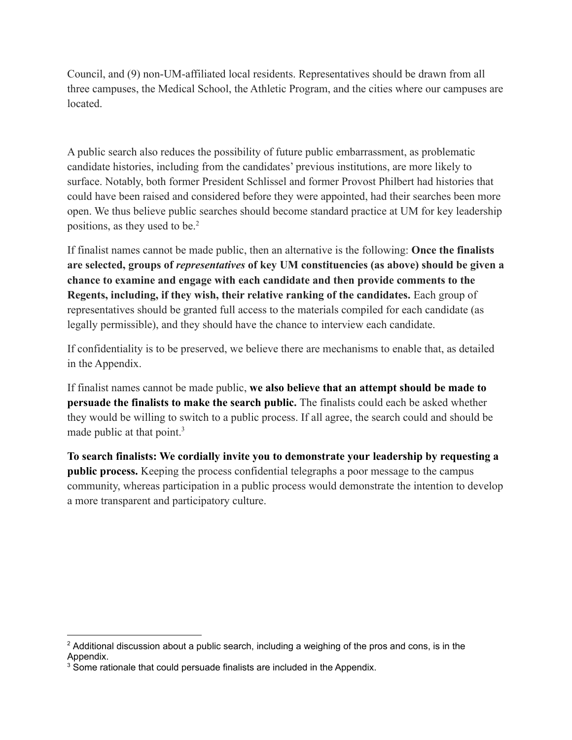Council, and (9) non-UM-affiliated local residents. Representatives should be drawn from all three campuses, the Medical School, the Athletic Program, and the cities where our campuses are located.

A public search also reduces the possibility of future public embarrassment, as problematic candidate histories, including from the candidates' previous institutions, are more likely to surface. Notably, both former President Schlissel and former Provost Philbert had histories that could have been raised and considered before they were appointed, had their searches been more open. We thus believe public searches should become standard practice at UM for key leadership positions, as they used to be.<sup>2</sup>

If finalist names cannot be made public, then an alternative is the following: **Once the finalists are selected, groups of** *representatives* **of key UM constituencies (as above) should be given a chance to examine and engage with each candidate and then provide comments to the Regents, including, if they wish, their relative ranking of the candidates.** Each group of representatives should be granted full access to the materials compiled for each candidate (as legally permissible), and they should have the chance to interview each candidate.

If confidentiality is to be preserved, we believe there are mechanisms to enable that, as detailed in the Appendix.

If finalist names cannot be made public, **we also believe that an attempt should be made to persuade the finalists to make the search public.** The finalists could each be asked whether they would be willing to switch to a public process. If all agree, the search could and should be made public at that point.<sup>3</sup>

**To search finalists: We cordially invite you to demonstrate your leadership by requesting a public process.** Keeping the process confidential telegraphs a poor message to the campus community, whereas participation in a public process would demonstrate the intention to develop a more transparent and participatory culture.

 $2$  Additional discussion about a public search, including a weighing of the pros and cons, is in the Appendix.

<sup>&</sup>lt;sup>3</sup> Some rationale that could persuade finalists are included in the Appendix.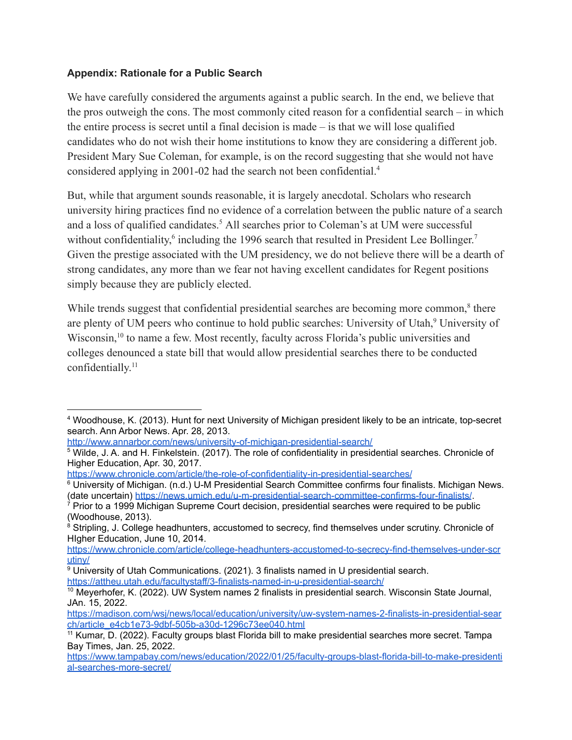## **Appendix: Rationale for a Public Search**

We have carefully considered the arguments against a public search. In the end, we believe that the pros outweigh the cons. The most commonly cited reason for a confidential search – in which the entire process is secret until a final decision is made – is that we will lose qualified candidates who do not wish their home institutions to know they are considering a different job. President Mary Sue Coleman, for example, is on the record suggesting that she would not have considered applying in 2001-02 had the search not been confidential.<sup>4</sup>

But, while that argument sounds reasonable, it is largely anecdotal. Scholars who research university hiring practices find no evidence of a correlation between the public nature of a search and a loss of qualified candidates.<sup>5</sup> All searches prior to Coleman's at UM were successful without confidentiality,<sup>6</sup> including the 1996 search that resulted in President Lee Bollinger.<sup>7</sup> Given the prestige associated with the UM presidency, we do not believe there will be a dearth of strong candidates, any more than we fear not having excellent candidates for Regent positions simply because they are publicly elected.

While trends suggest that confidential presidential searches are becoming more common,<sup>8</sup> there are plenty of UM peers who continue to hold public searches: University of Utah,<sup>9</sup> University of Wisconsin,<sup>10</sup> to name a few. Most recently, faculty across Florida's public universities and colleges denounced a state bill that would allow presidential searches there to be conducted confidentially. 11

<http://www.annarbor.com/news/university-of-michigan-presidential-search/>

<sup>4</sup> Woodhouse, K. (2013). Hunt for next University of Michigan president likely to be an intricate, top-secret search. Ann Arbor News. Apr. 28, 2013.

<sup>&</sup>lt;sup>5</sup> Wilde, J. A. and H. Finkelstein. (2017). The role of confidentiality in presidential searches. Chronicle of Higher Education, Apr. 30, 2017.

<https://www.chronicle.com/article/the-role-of-confidentiality-in-presidential-searches/>

<sup>6</sup> University of Michigan. (n.d.) U-M Presidential Search Committee confirms four finalists. Michigan News. (date uncertain) <https://news.umich.edu/u-m-presidential-search-committee-confirms-four-finalists/>.

 $7$  Prior to a 1999 Michigan Supreme Court decision, presidential searches were required to be public (Woodhouse, 2013).

<sup>&</sup>lt;sup>8</sup> Stripling, J. College headhunters, accustomed to secrecy, find themselves under scrutiny. Chronicle of HIgher Education, June 10, 2014.

[https://www.chronicle.com/article/college-headhunters-accustomed-to-secrecy-find-themselves-under-scr](https://www.chronicle.com/article/college-headhunters-accustomed-to-secrecy-find-themselves-under-scrutiny/) [utiny/](https://www.chronicle.com/article/college-headhunters-accustomed-to-secrecy-find-themselves-under-scrutiny/)

<sup>9</sup> University of Utah Communications. (2021). 3 finalists named in U presidential search. <https://attheu.utah.edu/facultystaff/3-finalists-named-in-u-presidential-search/>

<sup>10</sup> Meyerhofer, K. (2022). UW System names 2 finalists in presidential search. Wisconsin State Journal, JAn. 15, 2022.

[https://madison.com/wsj/news/local/education/university/uw-system-names-2-finalists-in-presidential-sear](https://madison.com/wsj/news/local/education/university/uw-system-names-2-finalists-in-presidential-search/article_e4cb1e73-9dbf-505b-a30d-1296c73ee040.html) [ch/article\\_e4cb1e73-9dbf-505b-a30d-1296c73ee040.html](https://madison.com/wsj/news/local/education/university/uw-system-names-2-finalists-in-presidential-search/article_e4cb1e73-9dbf-505b-a30d-1296c73ee040.html)

<sup>&</sup>lt;sup>11</sup> Kumar, D. (2022). Faculty groups blast Florida bill to make presidential searches more secret. Tampa Bay Times, Jan. 25, 2022.

[https://www.tampabay.com/news/education/2022/01/25/faculty-groups-blast-florida-bill-to-make-presidenti](https://www.tampabay.com/news/education/2022/01/25/faculty-groups-blast-florida-bill-to-make-presidential-searches-more-secret/) [al-searches-more-secret/](https://www.tampabay.com/news/education/2022/01/25/faculty-groups-blast-florida-bill-to-make-presidential-searches-more-secret/)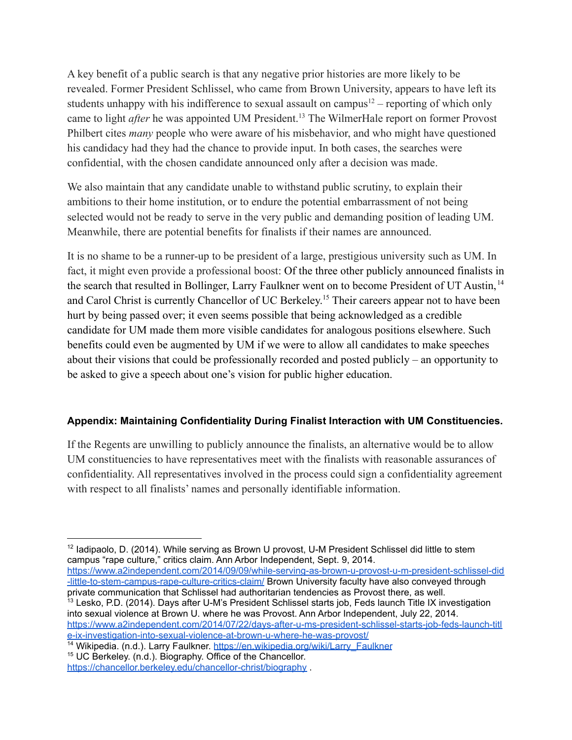A key benefit of a public search is that any negative prior histories are more likely to be revealed. Former President Schlissel, who came from Brown University, appears to have left its students unhappy with his indifference to sexual assault on campus<sup>12</sup> – reporting of which only came to light *after* he was appointed UM President.<sup>13</sup> The WilmerHale report on former Provost Philbert cites *many* people who were aware of his misbehavior, and who might have questioned his candidacy had they had the chance to provide input. In both cases, the searches were confidential, with the chosen candidate announced only after a decision was made.

We also maintain that any candidate unable to withstand public scrutiny, to explain their ambitions to their home institution, or to endure the potential embarrassment of not being selected would not be ready to serve in the very public and demanding position of leading UM. Meanwhile, there are potential benefits for finalists if their names are announced.

It is no shame to be a runner-up to be president of a large, prestigious university such as UM. In fact, it might even provide a professional boost: Of the three other publicly announced finalists in the search that resulted in Bollinger, Larry Faulkner went on to become President of UT Austin, <sup>14</sup> and Carol Christ is currently Chancellor of UC Berkeley.<sup>15</sup> Their careers appear not to have been hurt by being passed over; it even seems possible that being acknowledged as a credible candidate for UM made them more visible candidates for analogous positions elsewhere. Such benefits could even be augmented by UM if we were to allow all candidates to make speeches about their visions that could be professionally recorded and posted publicly – an opportunity to be asked to give a speech about one's vision for public higher education.

## **Appendix: Maintaining Confidentiality During Finalist Interaction with UM Constituencies.**

If the Regents are unwilling to publicly announce the finalists, an alternative would be to allow UM constituencies to have representatives meet with the finalists with reasonable assurances of confidentiality. All representatives involved in the process could sign a confidentiality agreement with respect to all finalists' names and personally identifiable information.

<sup>13</sup> Lesko, P.D. (2014). Days after U-M's President Schlissel starts job, Feds launch Title IX investigation into sexual violence at Brown U. where he was Provost. Ann Arbor Independent, July 22, 2014. [https://www.a2independent.com/2014/07/22/days-after-u-ms-president-schlissel-starts-job-feds-launch-titl](https://www.a2independent.com/2014/07/22/days-after-u-ms-president-schlissel-starts-job-feds-launch-title-ix-investigation-into-sexual-violence-at-brown-u-where-he-was-provost/) [e-ix-investigation-into-sexual-violence-at-brown-u-where-he-was-provost/](https://www.a2independent.com/2014/07/22/days-after-u-ms-president-schlissel-starts-job-feds-launch-title-ix-investigation-into-sexual-violence-at-brown-u-where-he-was-provost/) [https://www.a2independent.com/2014/09/09/while-serving-as-brown-u-provost-u-m-president-schlissel-did](https://www.a2independent.com/2014/09/09/while-serving-as-brown-u-provost-u-m-president-schlissel-did-little-to-stem-campus-rape-culture-critics-claim/) [-little-to-stem-campus-rape-culture-critics-claim/](https://www.a2independent.com/2014/09/09/while-serving-as-brown-u-provost-u-m-president-schlissel-did-little-to-stem-campus-rape-culture-critics-claim/) Brown University faculty have also conveyed through private communication that Schlissel had authoritarian tendencies as Provost there, as well.

 $12$  Iadipaolo, D. (2014). While serving as Brown U provost, U-M President Schlissel did little to stem campus "rape culture," critics claim. Ann Arbor Independent, Sept. 9, 2014.

<sup>&</sup>lt;sup>14</sup> Wikipedia. (n.d.). Larry Faulkner. [https://en.wikipedia.org/wiki/Larry\\_Faulkner](https://en.wikipedia.org/wiki/Larry_Faulkner)

<sup>&</sup>lt;sup>15</sup> UC Berkeley. (n.d.). Biography. Office of the Chancellor. <https://chancellor.berkeley.edu/chancellor-christ/biography> .